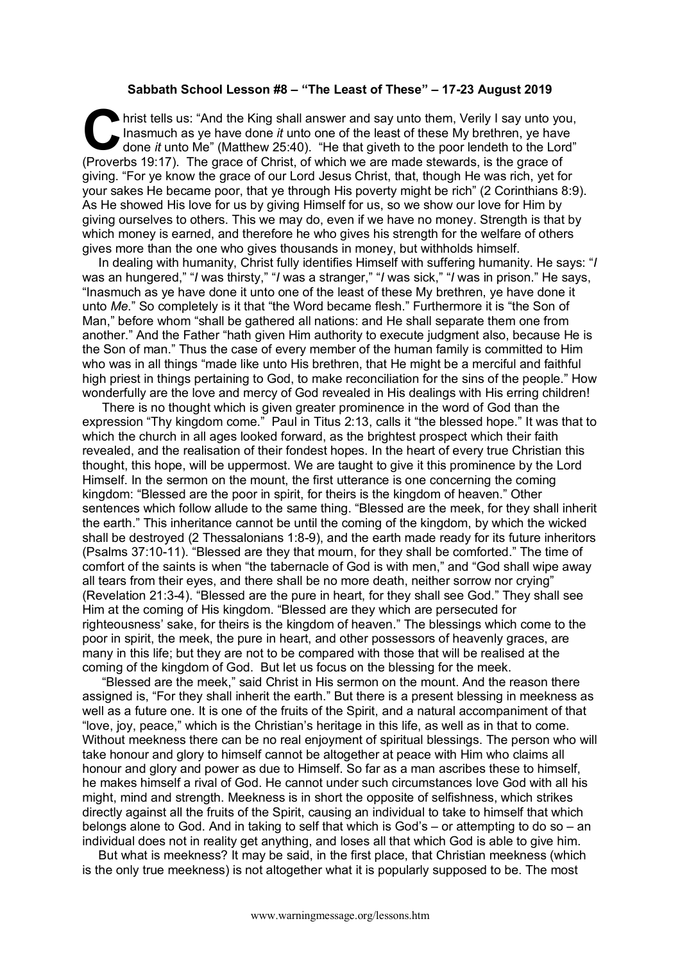## **Sabbath School Lesson #8 – "The Least of These" – 17-23 August 2019**

hrist tells us: "And the King shall answer and say unto them, Verily I say unto you, Inasmuch as ye have done *it* unto one of the least of these My brethren, ye have done *it* unto Me" (Matthew 25:40). "He that give th to Inasmuch as ye have done *it* unto one of the least of these My brethren, ye have done *it* unto Me" (Matthew 25:40). "He that giveth to the poor lendeth to the Lord" (Proverbs 19:17). The grace of Christ, of which we are made stewards, is the grace of giving. "For ye know the grace of our Lord Jesus Christ, that, though He was rich, yet for your sakes He became poor, that ye through His poverty might be rich" (2 Corinthians 8:9). As He showed His love for us by giving Himself for us, so we show our love for Him by giving ourselves to others. This we may do, even if we have no money. Strength is that by which money is earned, and therefore he who gives his strength for the welfare of others gives more than the one who gives thousands in money, but withholds himself.

In dealing with humanity, Christ fully identifies Himself with suffering humanity. He says: "*I*  was an hungered," "*I* was thirsty," "*I* was a stranger," "*I* was sick," "*I* was in prison." He says, "Inasmuch as ye have done it unto one of the least of these My brethren, ye have done it unto *Me*." So completely is it that "the Word became flesh." Furthermore it is "the Son of Man," before whom "shall be gathered all nations: and He shall separate them one from another." And the Father "hath given Him authority to execute judgment also, because He is the Son of man." Thus the case of every member of the human family is committed to Him who was in all things "made like unto His brethren, that He might be a merciful and faithful high priest in things pertaining to God, to make reconciliation for the sins of the people." How wonderfully are the love and mercy of God revealed in His dealings with His erring children!

There is no thought which is given greater prominence in the word of God than the expression "Thy kingdom come." Paul in Titus 2:13, calls it "the blessed hope." It was that to which the church in all ages looked forward, as the brightest prospect which their faith revealed, and the realisation of their fondest hopes. In the heart of every true Christian this thought, this hope, will be uppermost. We are taught to give it this prominence by the Lord Himself. In the sermon on the mount, the first utterance is one concerning the coming kingdom: "Blessed are the poor in spirit, for theirs is the kingdom of heaven." Other sentences which follow allude to the same thing. "Blessed are the meek, for they shall inherit the earth." This inheritance cannot be until the coming of the kingdom, by which the wicked shall be destroyed (2 Thessalonians 1:8-9), and the earth made ready for its future inheritors (Psalms 37:10-11). "Blessed are they that mourn, for they shall be comforted." The time of comfort of the saints is when "the tabernacle of God is with men," and "God shall wipe away all tears from their eyes, and there shall be no more death, neither sorrow nor crying" (Revelation 21:3-4). "Blessed are the pure in heart, for they shall see God." They shall see Him at the coming of His kingdom. "Blessed are they which are persecuted for righteousness' sake, for theirs is the kingdom of heaven." The blessings which come to the poor in spirit, the meek, the pure in heart, and other possessors of heavenly graces, are many in this life; but they are not to be compared with those that will be realised at the coming of the kingdom of God. But let us focus on the blessing for the meek.

"Blessed are the meek," said Christ in His sermon on the mount. And the reason there assigned is, "For they shall inherit the earth." But there is a present blessing in meekness as well as a future one. It is one of the fruits of the Spirit, and a natural accompaniment of that "love, joy, peace," which is the Christian's heritage in this life, as well as in that to come. Without meekness there can be no real enjoyment of spiritual blessings. The person who will take honour and glory to himself cannot be altogether at peace with Him who claims all honour and glory and power as due to Himself. So far as a man ascribes these to himself, he makes himself a rival of God. He cannot under such circumstances love God with all his might, mind and strength. Meekness is in short the opposite of selfishness, which strikes directly against all the fruits of the Spirit, causing an individual to take to himself that which belongs alone to God. And in taking to self that which is God's – or attempting to do so – an individual does not in reality get anything, and loses all that which God is able to give him.

But what is meekness? It may be said, in the first place, that Christian meekness (which is the only true meekness) is not altogether what it is popularly supposed to be. The most